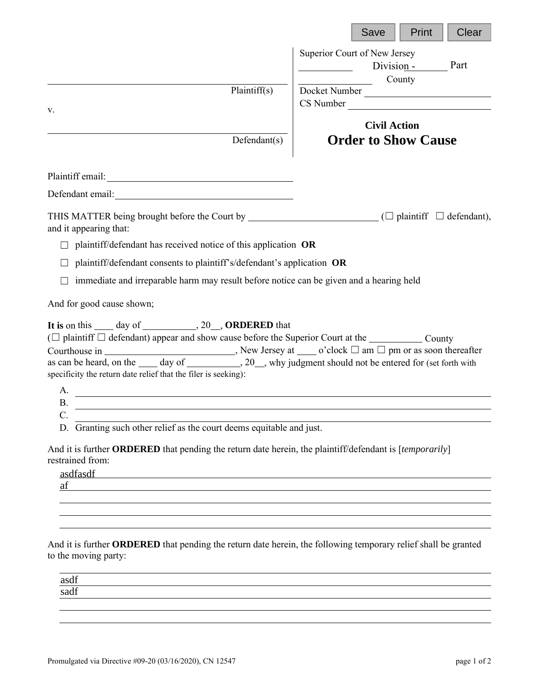|                                                                                                                                                                                                                                                                                                                                                                            | Print<br>Clear<br>Save                                       |
|----------------------------------------------------------------------------------------------------------------------------------------------------------------------------------------------------------------------------------------------------------------------------------------------------------------------------------------------------------------------------|--------------------------------------------------------------|
|                                                                                                                                                                                                                                                                                                                                                                            | Superior Court of New Jersey<br>Division -<br>Part<br>County |
| Plaintiff(s)                                                                                                                                                                                                                                                                                                                                                               | Docket Number                                                |
| V.                                                                                                                                                                                                                                                                                                                                                                         | CS Number                                                    |
|                                                                                                                                                                                                                                                                                                                                                                            | <b>Civil Action</b>                                          |
| Defendant(s)                                                                                                                                                                                                                                                                                                                                                               | <b>Order to Show Cause</b>                                   |
|                                                                                                                                                                                                                                                                                                                                                                            |                                                              |
| Defendant email:<br><u>Defendant</u> email:                                                                                                                                                                                                                                                                                                                                |                                                              |
| THIS MATTER being brought before the Court by $\Box$ ( $\Box$ plaintiff $\Box$ defendant),<br>and it appearing that:                                                                                                                                                                                                                                                       |                                                              |
| plaintiff/defendant has received notice of this application OR                                                                                                                                                                                                                                                                                                             |                                                              |
| plaintiff/defendant consents to plaintiff's/defendant's application OR                                                                                                                                                                                                                                                                                                     |                                                              |
| immediate and irreparable harm may result before notice can be given and a hearing held                                                                                                                                                                                                                                                                                    |                                                              |
| And for good cause shown;                                                                                                                                                                                                                                                                                                                                                  |                                                              |
| It is on this _____ day of ____________, 20__, ORDERED that<br>$(\Box$ plaintiff $\Box$ defendant) appear and show cause before the Superior Court at the _____________ County<br>as can be heard, on the _____ day of ____________, 20___, why judgment should not be entered for (set forth with<br>specificity the return date relief that the filer is seeking):<br>А. |                                                              |
| Β.                                                                                                                                                                                                                                                                                                                                                                         |                                                              |
| $\mathbf C$<br>D. Granting such other relief as the court deems equitable and just.                                                                                                                                                                                                                                                                                        |                                                              |
| And it is further ORDERED that pending the return date herein, the plaintiff/defendant is [temporarily]<br>restrained from:<br>asdfasdf<br>af                                                                                                                                                                                                                              |                                                              |
|                                                                                                                                                                                                                                                                                                                                                                            |                                                              |
|                                                                                                                                                                                                                                                                                                                                                                            |                                                              |
| And it is further ORDERED that pending the return date herein, the following temporary relief shall be granted<br>to the moving party:                                                                                                                                                                                                                                     |                                                              |
| asdf<br>sadf                                                                                                                                                                                                                                                                                                                                                               |                                                              |